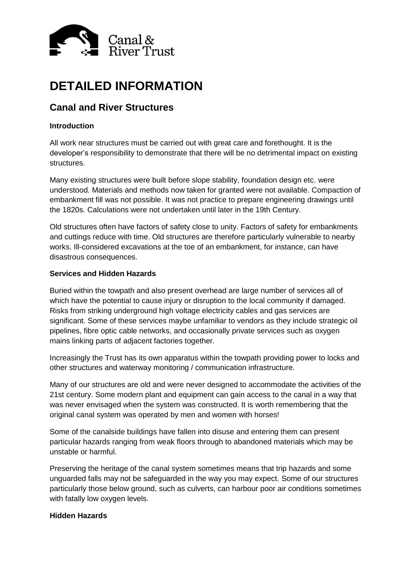

# **DETAILED INFORMATION**

# **Canal and River Structures**

#### **Introduction**

All work near structures must be carried out with great care and forethought. It is the developer's responsibility to demonstrate that there will be no detrimental impact on existing structures.

Many existing structures were built before slope stability, foundation design etc. were understood. Materials and methods now taken for granted were not available. Compaction of embankment fill was not possible. It was not practice to prepare engineering drawings until the 1820s. Calculations were not undertaken until later in the 19th Century.

Old structures often have factors of safety close to unity. Factors of safety for embankments and cuttings reduce with time. Old structures are therefore particularly vulnerable to nearby works. Ill-considered excavations at the toe of an embankment, for instance, can have disastrous consequences.

#### **Services and Hidden Hazards**

Buried within the towpath and also present overhead are large number of services all of which have the potential to cause injury or disruption to the local community if damaged. Risks from striking underground high voltage electricity cables and gas services are significant. Some of these services maybe unfamiliar to vendors as they include strategic oil pipelines, fibre optic cable networks, and occasionally private services such as oxygen mains linking parts of adjacent factories together.

Increasingly the Trust has its own apparatus within the towpath providing power to locks and other structures and waterway monitoring / communication infrastructure.

Many of our structures are old and were never designed to accommodate the activities of the 21st century. Some modern plant and equipment can gain access to the canal in a way that was never envisaged when the system was constructed. It is worth remembering that the original canal system was operated by men and women with horses!

Some of the canalside buildings have fallen into disuse and entering them can present particular hazards ranging from weak floors through to abandoned materials which may be unstable or harmful.

Preserving the heritage of the canal system sometimes means that trip hazards and some unguarded falls may not be safeguarded in the way you may expect. Some of our structures particularly those below ground, such as culverts, can harbour poor air conditions sometimes with fatally low oxygen levels.

#### **Hidden Hazards**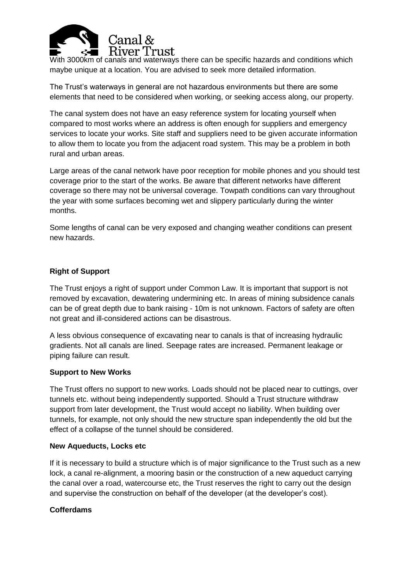

With 3000km of canals and waterways there can be specific hazards and conditions which maybe unique at a location. You are advised to seek more detailed information.

The Trust's waterways in general are not hazardous environments but there are some elements that need to be considered when working, or seeking access along, our property.

The canal system does not have an easy reference system for locating yourself when compared to most works where an address is often enough for suppliers and emergency services to locate your works. Site staff and suppliers need to be given accurate information to allow them to locate you from the adjacent road system. This may be a problem in both rural and urban areas.

Large areas of the canal network have poor reception for mobile phones and you should test coverage prior to the start of the works. Be aware that different networks have different coverage so there may not be universal coverage. Towpath conditions can vary throughout the year with some surfaces becoming wet and slippery particularly during the winter months.

Some lengths of canal can be very exposed and changing weather conditions can present new hazards.

#### **Right of Support**

The Trust enjoys a right of support under Common Law. It is important that support is not removed by excavation, dewatering undermining etc. In areas of mining subsidence canals can be of great depth due to bank raising - 10m is not unknown. Factors of safety are often not great and ill-considered actions can be disastrous.

A less obvious consequence of excavating near to canals is that of increasing hydraulic gradients. Not all canals are lined. Seepage rates are increased. Permanent leakage or piping failure can result.

#### **Support to New Works**

The Trust offers no support to new works. Loads should not be placed near to cuttings, over tunnels etc. without being independently supported. Should a Trust structure withdraw support from later development, the Trust would accept no liability. When building over tunnels, for example, not only should the new structure span independently the old but the effect of a collapse of the tunnel should be considered.

#### **New Aqueducts, Locks etc**

If it is necessary to build a structure which is of major significance to the Trust such as a new lock, a canal re-alignment, a mooring basin or the construction of a new aqueduct carrying the canal over a road, watercourse etc, the Trust reserves the right to carry out the design and supervise the construction on behalf of the developer (at the developer's cost).

#### **Cofferdams**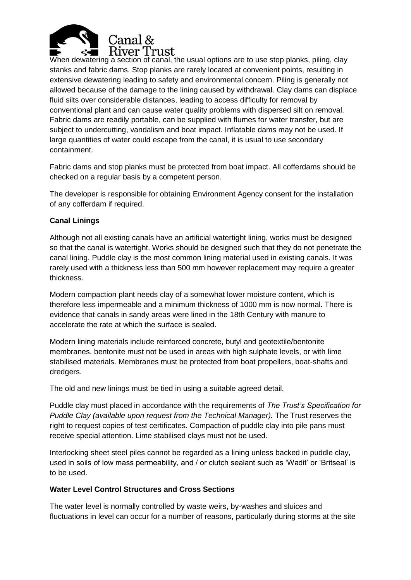

When dewatering a section of canal, the usual options are to use stop planks, piling, clay stanks and fabric dams. Stop planks are rarely located at convenient points, resulting in extensive dewatering leading to safety and environmental concern. Piling is generally not allowed because of the damage to the lining caused by withdrawal. Clay dams can displace fluid silts over considerable distances, leading to access difficulty for removal by conventional plant and can cause water quality problems with dispersed silt on removal. Fabric dams are readily portable, can be supplied with flumes for water transfer, but are subject to undercutting, vandalism and boat impact. Inflatable dams may not be used. If large quantities of water could escape from the canal, it is usual to use secondary containment.

Fabric dams and stop planks must be protected from boat impact. All cofferdams should be checked on a regular basis by a competent person.

The developer is responsible for obtaining Environment Agency consent for the installation of any cofferdam if required.

## **Canal Linings**

Although not all existing canals have an artificial watertight lining, works must be designed so that the canal is watertight. Works should be designed such that they do not penetrate the canal lining. Puddle clay is the most common lining material used in existing canals. It was rarely used with a thickness less than 500 mm however replacement may require a greater thickness.

Modern compaction plant needs clay of a somewhat lower moisture content, which is therefore less impermeable and a minimum thickness of 1000 mm is now normal. There is evidence that canals in sandy areas were lined in the 18th Century with manure to accelerate the rate at which the surface is sealed.

Modern lining materials include reinforced concrete, butyl and geotextile/bentonite membranes. bentonite must not be used in areas with high sulphate levels, or with lime stabilised materials. Membranes must be protected from boat propellers, boat-shafts and dredgers.

The old and new linings must be tied in using a suitable agreed detail.

Puddle clay must placed in accordance with the requirements of *The Trust's Specification for Puddle Clay (available upon request from the Technical Manager).* The Trust reserves the right to request copies of test certificates. Compaction of puddle clay into pile pans must receive special attention. Lime stabilised clays must not be used.

Interlocking sheet steel piles cannot be regarded as a lining unless backed in puddle clay, used in soils of low mass permeability, and / or clutch sealant such as 'Wadit' or 'Britseal' is to be used.

#### **Water Level Control Structures and Cross Sections**

The water level is normally controlled by waste weirs, by-washes and sluices and fluctuations in level can occur for a number of reasons, particularly during storms at the site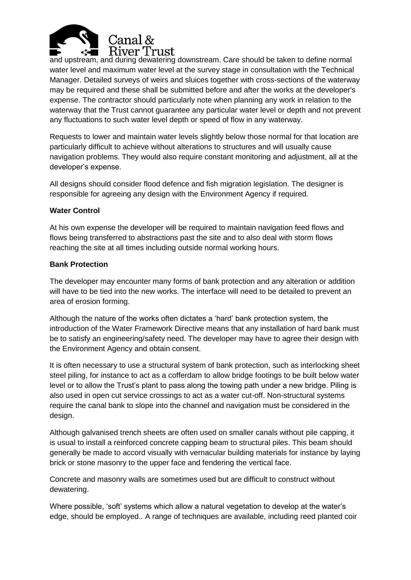

and upstream, and during dewatering downstream. Care should be taken to define normal water level and maximum water level at the survey stage in consultation with the Technical Manager. Detailed surveys of weirs and sluices together with cross-sections of the waterway may be required and these shall be submitted before and after the works at the developer's expense. The contractor should particularly note when planning any work in relation to the waterway that the Trust cannot guarantee any particular water level or depth and not prevent any fluctuations to such water level depth or speed of flow in any waterway.

Requests to lower and maintain water levels slightly below those normal for that location are particularly difficult to achieve without alterations to structures and will usually cause navigation problems. They would also require constant monitoring and adjustment, all at the developer's expense.

All designs should consider flood defence and fish migration legislation. The designer is responsible for agreeing any design with the Environment Agency if required.

## **Water Control**

At his own expense the developer will be required to maintain navigation feed flows and flows being transferred to abstractions past the site and to also deal with storm flows reaching the site at all times including outside normal working hours.

#### **Bank Protection**

The developer may encounter many forms of bank protection and any alteration or addition will have to be tied into the new works. The interface will need to be detailed to prevent an area of erosion forming.

Although the nature of the works often dictates a 'hard' bank protection system, the introduction of the Water Framework Directive means that any installation of hard bank must be to satisfy an engineering/safety need. The developer may have to agree their design with the Environment Agency and obtain consent.

It is often necessary to use a structural system of bank protection, such as interlocking sheet steel piling, for instance to act as a cofferdam to allow bridge footings to be built below water level or to allow the Trust's plant to pass along the towing path under a new bridge. Piling is also used in open cut service crossings to act as a water cut-off. Non-structural systems require the canal bank to slope into the channel and navigation must be considered in the design.

Although galvanised trench sheets are often used on smaller canals without pile capping, it is usual to install a reinforced concrete capping beam to structural piles. This beam should generally be made to accord visually with vernacular building materials for instance by laying brick or stone masonry to the upper face and fendering the vertical face.

Concrete and masonry walls are sometimes used but are difficult to construct without dewatering.

Where possible, 'soft' systems which allow a natural vegetation to develop at the water's edge, should be employed.. A range of techniques are available, including reed planted coir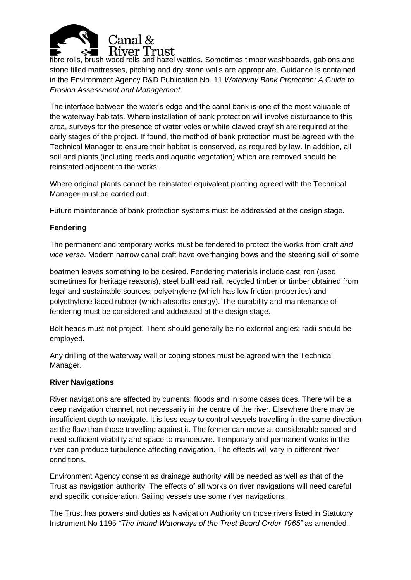

fibre rolls, brush wood rolls and hazel wattles. Sometimes timber washboards, gabions and stone filled mattresses, pitching and dry stone walls are appropriate. Guidance is contained in the Environment Agency R&D Publication No. 11 *Waterway Bank Protection: A Guide to Erosion Assessment and Management*.

The interface between the water's edge and the canal bank is one of the most valuable of the waterway habitats. Where installation of bank protection will involve disturbance to this area, surveys for the presence of water voles or white clawed crayfish are required at the early stages of the project. If found, the method of bank protection must be agreed with the Technical Manager to ensure their habitat is conserved, as required by law. In addition, all soil and plants (including reeds and aquatic vegetation) which are removed should be reinstated adjacent to the works.

Where original plants cannot be reinstated equivalent planting agreed with the Technical Manager must be carried out.

Future maintenance of bank protection systems must be addressed at the design stage.

#### **Fendering**

The permanent and temporary works must be fendered to protect the works from craft *and vice versa*. Modern narrow canal craft have overhanging bows and the steering skill of some

boatmen leaves something to be desired. Fendering materials include cast iron (used sometimes for heritage reasons), steel bullhead rail, recycled timber or timber obtained from legal and sustainable sources, polyethylene (which has low friction properties) and polyethylene faced rubber (which absorbs energy). The durability and maintenance of fendering must be considered and addressed at the design stage.

Bolt heads must not project. There should generally be no external angles; radii should be employed.

Any drilling of the waterway wall or coping stones must be agreed with the Technical Manager.

#### **River Navigations**

River navigations are affected by currents, floods and in some cases tides. There will be a deep navigation channel, not necessarily in the centre of the river. Elsewhere there may be insufficient depth to navigate. It is less easy to control vessels travelling in the same direction as the flow than those travelling against it. The former can move at considerable speed and need sufficient visibility and space to manoeuvre. Temporary and permanent works in the river can produce turbulence affecting navigation. The effects will vary in different river conditions.

Environment Agency consent as drainage authority will be needed as well as that of the Trust as navigation authority. The effects of all works on river navigations will need careful and specific consideration. Sailing vessels use some river navigations.

The Trust has powers and duties as Navigation Authority on those rivers listed in Statutory Instrument No 1195 *"The Inland Waterways of the Trust Board Order 1965"* as amended*.*